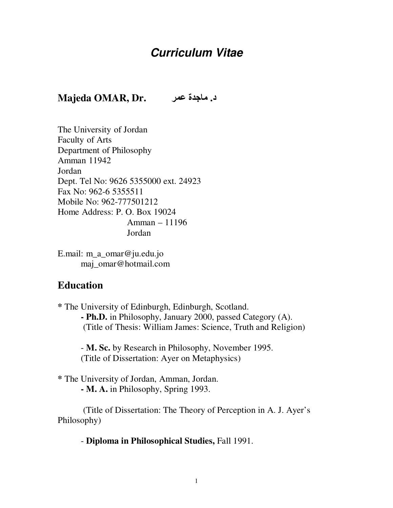# **Curriculum Vitae**

#### **د. ماجدة عمر .** . Majeda OMAR, Dr

The University of Jordan Faculty of Arts Department of Philosophy Amman 11942 Jordan Dept. Tel No: 9626 5355000 ext. 24923 Fax No: 962-6 5355511 Mobile No: 962-777501212 Home Address: P. O. Box 19024 Amman – 11196 Jordan

E.mail: m\_a\_omar@ju.edu.jo maj\_omar@hotmail.com

#### **Education**

**\*** The University of Edinburgh, Edinburgh, Scotland. **- Ph.D.** in Philosophy, January 2000, passed Category (A). (Title of Thesis: William James: Science, Truth and Religion)

 - **M. Sc.** by Research in Philosophy, November 1995. (Title of Dissertation: Ayer on Metaphysics)

**\*** The University of Jordan, Amman, Jordan. **- M. A.** in Philosophy, Spring 1993.

 (Title of Dissertation: The Theory of Perception in A. J. Ayer's Philosophy)

- **Diploma in Philosophical Studies,** Fall 1991.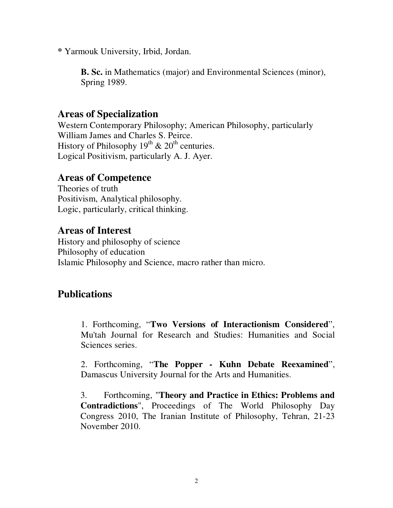**\*** Yarmouk University, Irbid, Jordan.

**B. Sc.** in Mathematics (major) and Environmental Sciences (minor), Spring 1989.

#### **Areas of Specialization**

Western Contemporary Philosophy; American Philosophy, particularly William James and Charles S. Peirce. History of Philosophy  $19^{th}$  &  $20^{th}$  centuries. Logical Positivism, particularly A. J. Ayer.

#### **Areas of Competence**

Theories of truth Positivism, Analytical philosophy. Logic, particularly, critical thinking.

## **Areas of Interest**

History and philosophy of science Philosophy of education Islamic Philosophy and Science, macro rather than micro.

# **Publications**

1. Forthcoming, "**Two Versions of Interactionism Considered**", Mu'tah Journal for Research and Studies: Humanities and Social Sciences series.

2. Forthcoming, "**The Popper - Kuhn Debate Reexamined**", Damascus University Journal for the Arts and Humanities.

3. Forthcoming, "**Theory and Practice in Ethics: Problems and Contradictions**", Proceedings of The World Philosophy Day Congress 2010, The Iranian Institute of Philosophy, Tehran, 21-23 November 2010.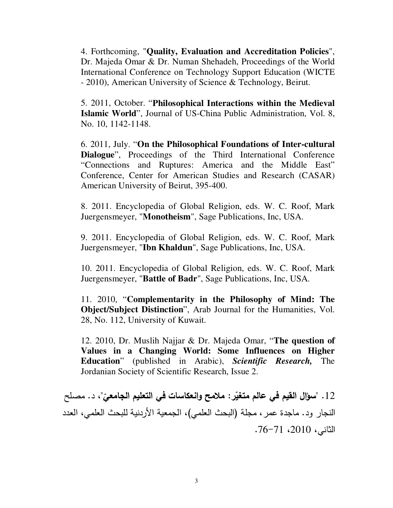4. Forthcoming, "**Quality, Evaluation and Accreditation Policies**", Dr. Majeda Omar & Dr. Numan Shehadeh, Proceedings of the World International Conference on Technology Support Education (WICTE - 2010), American University of Science & Technology, Beirut.

5. 2011, October. "**Philosophical Interactions within the Medieval Islamic World**", Journal of US-China Public Administration, Vol. 8, No. 10, 1142-1148.

6. 2011, July. "**On the Philosophical Foundations of Inter-cultural Dialogue**", Proceedings of the Third International Conference "Connections and Ruptures: America and the Middle East" Conference, Center for American Studies and Research (CASAR) American University of Beirut, 395-400.

8. 2011. Encyclopedia of Global Religion, eds. W. C. Roof, Mark Juergensmeyer, "**Monotheism**", Sage Publications, Inc, USA.

9. 2011. Encyclopedia of Global Religion, eds. W. C. Roof, Mark Juergensmeyer, "**Ibn Khaldun**", Sage Publications, Inc, USA.

10. 2011. Encyclopedia of Global Religion, eds. W. C. Roof, Mark Juergensmeyer, "**Battle of Badr**", Sage Publications, Inc, USA.

11. 2010, "**Complementarity in the Philosophy of Mind: The Object/Subject Distinction**", Arab Journal for the Humanities, Vol. 28, No. 112, University of Kuwait.

12. 2010, Dr. Muslih Najjar & Dr. Majeda Omar, "**The question of Values in a Changing World: Some Influences on Higher Education**" (published in Arabic), *Scientific Research,* The Jordanian Society of Scientific Research, Issue 2.

12 . "سوّال القيم في عالم متغيّر : ملامح وانعكاسات في التعليم الجامعيّ"، د. مصلح النجار ود. ماجدة عمر ، مجلة (البحث العلمي)، الجمعية الأردنية للبحث العلمي، العدد  $.76 - 71$ .2010،  $.76 - 71$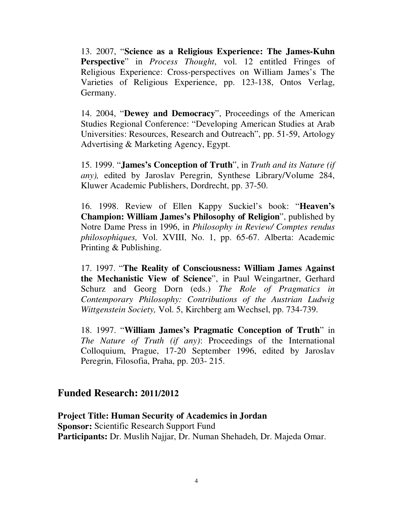13. 2007, "**Science as a Religious Experience: The James-Kuhn Perspective**" in *Process Thought*, vol. 12 entitled Fringes of Religious Experience: Cross-perspectives on William James's The Varieties of Religious Experience, pp. 123-138, Ontos Verlag, Germany.

14. 2004, "**Dewey and Democracy**", Proceedings of the American Studies Regional Conference: "Developing American Studies at Arab Universities: Resources, Research and Outreach", pp. 51-59, Artology Advertising & Marketing Agency, Egypt.

15. 1999. "**James's Conception of Truth**", in *Truth and its Nature (if any),* edited by Jaroslav Peregrin, Synthese Library/Volume 284, Kluwer Academic Publishers, Dordrecht, pp. 37-50.

16. 1998. Review of Ellen Kappy Suckiel's book: "**Heaven's Champion: William James's Philosophy of Religion**", published by Notre Dame Press in 1996, in *Philosophy in Review/ Comptes rendus philosophiques,* Vol. XVIII, No. 1, pp. 65-67. Alberta: Academic Printing & Publishing.

17. 1997. "**The Reality of Consciousness: William James Against the Mechanistic View of Science**", in Paul Weingartner, Gerhard Schurz and Georg Dorn (eds.) *The Role of Pragmatics in Contemporary Philosophy: Contributions of the Austrian Ludwig Wittgenstein Society,* Vol. 5, Kirchberg am Wechsel, pp. 734-739.

18. 1997. "**William James's Pragmatic Conception of Truth**" in *The Nature of Truth (if any)*: Proceedings of the International Colloquium, Prague, 17-20 September 1996, edited by Jaroslav Peregrin, Filosofia, Praha, pp. 203- 215.

#### **Funded Research: 2011/2012**

**Project Title: Human Security of Academics in Jordan Sponsor:** Scientific Research Support Fund **Participants:** Dr. Muslih Najjar, Dr. Numan Shehadeh, Dr. Majeda Omar.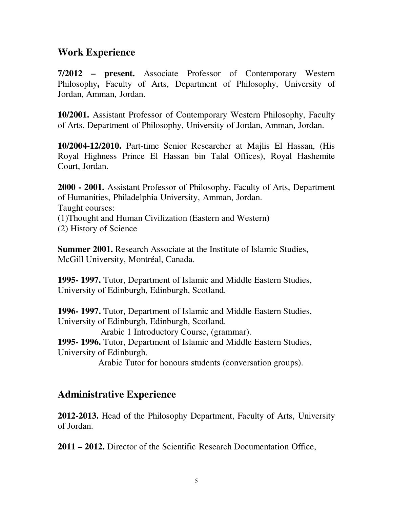### **Work Experience**

**7/2012 – present.** Associate Professor of Contemporary Western Philosophy**,** Faculty of Arts, Department of Philosophy, University of Jordan, Amman, Jordan.

**10/2001.** Assistant Professor of Contemporary Western Philosophy, Faculty of Arts, Department of Philosophy, University of Jordan, Amman, Jordan.

**10/2004-12/2010.** Part-time Senior Researcher at Majlis El Hassan, (His Royal Highness Prince El Hassan bin Talal Offices), Royal Hashemite Court, Jordan.

**2000 - 2001.** Assistant Professor of Philosophy, Faculty of Arts, Department of Humanities, Philadelphia University, Amman, Jordan. Taught courses: (1)Thought and Human Civilization (Eastern and Western) (2) History of Science

**Summer 2001.** Research Associate at the Institute of Islamic Studies, McGill University, Montréal, Canada.

**1995- 1997.** Tutor, Department of Islamic and Middle Eastern Studies, University of Edinburgh, Edinburgh, Scotland.

**1996- 1997.** Tutor, Department of Islamic and Middle Eastern Studies, University of Edinburgh, Edinburgh, Scotland.

Arabic 1 Introductory Course, (grammar).

**1995- 1996.** Tutor, Department of Islamic and Middle Eastern Studies, University of Edinburgh.

Arabic Tutor for honours students (conversation groups).

#### **Administrative Experience**

**2012-2013.** Head of the Philosophy Department, Faculty of Arts, University of Jordan.

**2011 – 2012.** Director of the Scientific Research Documentation Office,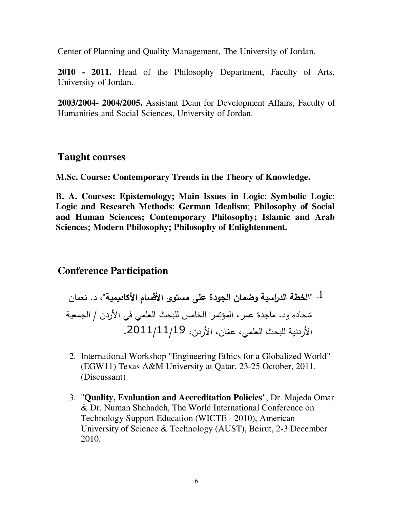Center of Planning and Quality Management, The University of Jordan.

**2010 - 2011.** Head of the Philosophy Department, Faculty of Arts, University of Jordan.

**2003/2004- 2004/2005.** Assistant Dean for Development Affairs, Faculty of Humanities and Social Sciences, University of Jordan.

#### **Taught courses**

**M.Sc. Course: Contemporary Trends in the Theory of Knowledge.** 

**B. A. Courses: Epistemology; Main Issues in Logic**; **Symbolic Logic**; **Logic and Research Methods**; **German Idealism**; **Philosophy of Social and Human Sciences; Contemporary Philosophy; Islamic and Arab Sciences; Modern Philosophy; Philosophy of Enlightenment.** 

#### **Conference Participation**

1.  . " ) ! " # \$ % & '( " 
 / & \$ % "# ) 
 . ! ( .2011/11/19 

- 2. International Workshop "Engineering Ethics for a Globalized World" (EGW11) Texas A&M University at Qatar, 23-25 October, 2011. (Discussant)
- 3. "**Quality, Evaluation and Accreditation Policies**", Dr. Majeda Omar & Dr. Numan Shehadeh, The World International Conference on Technology Support Education (WICTE - 2010), American University of Science & Technology (AUST), Beirut, 2-3 December 2010.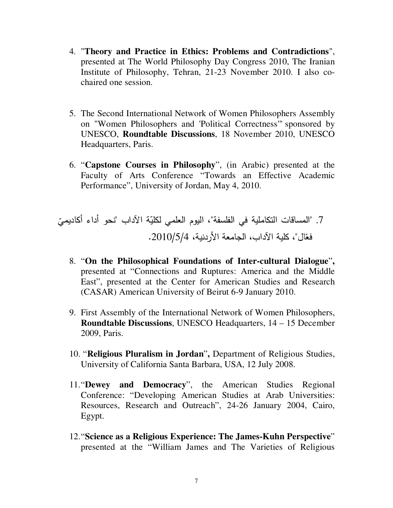- 4. "**Theory and Practice in Ethics: Problems and Contradictions**", presented at The World Philosophy Day Congress 2010, The Iranian Institute of Philosophy, Tehran, 21-23 November 2010. I also cochaired one session.
- 5. The Second International Network of Women Philosophers Assembly on "Women Philosophers and 'Political Correctness'" sponsored by UNESCO, **Roundtable Discussions**, 18 November 2010, UNESCO Headquarters, Paris.
- 6. "**Capstone Courses in Philosophy**", (in Arabic) presented at the Faculty of Arts Conference "Towards an Effective Academic Performance", University of Jordan, May 4, 2010.

 /0 + . " )\*) & +" ,-\* " 7. ( " ( +1 21 3 ( .2010/5/4 
 /0 + " &

- 8. "**On the Philosophical Foundations of Inter-cultural Dialogue**"**,** presented at "Connections and Ruptures: America and the Middle East", presented at the Center for American Studies and Research (CASAR) American University of Beirut 6-9 January 2010.
- 9. First Assembly of the International Network of Women Philosophers, **Roundtable Discussions**, UNESCO Headquarters, 14 – 15 December 2009, Paris.
- 10. "**Religious Pluralism in Jordan**"**,** Department of Religious Studies, University of California Santa Barbara, USA, 12 July 2008.
- 11."**Dewey and Democracy**", the American Studies Regional Conference: "Developing American Studies at Arab Universities: Resources, Research and Outreach", 24-26 January 2004, Cairo, Egypt.
- 12."**Science as a Religious Experience: The James-Kuhn Perspective**" presented at the "William James and The Varieties of Religious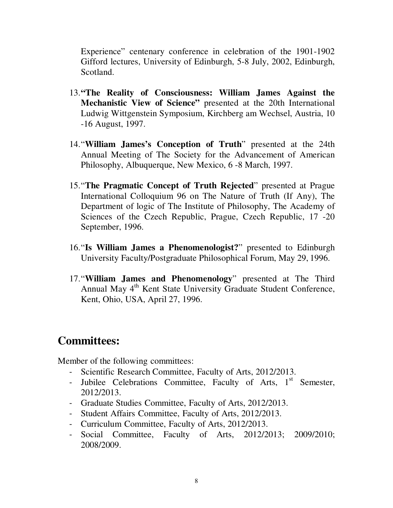Experience" centenary conference in celebration of the 1901-1902 Gifford lectures, University of Edinburgh, 5-8 July, 2002, Edinburgh, Scotland.

- 13.**"The Reality of Consciousness: William James Against the Mechanistic View of Science"** presented at the 20th International Ludwig Wittgenstein Symposium, Kirchberg am Wechsel, Austria, 10 -16 August, 1997.
- 14."**William James's Conception of Truth**" presented at the 24th Annual Meeting of The Society for the Advancement of American Philosophy, Albuquerque, New Mexico, 6 -8 March, 1997.
- 15."**The Pragmatic Concept of Truth Rejected**" presented at Prague International Colloquium 96 on The Nature of Truth (If Any), The Department of logic of The Institute of Philosophy, The Academy of Sciences of the Czech Republic, Prague, Czech Republic, 17 -20 September, 1996.
- 16."**Is William James a Phenomenologist?**" presented to Edinburgh University Faculty/Postgraduate Philosophical Forum, May 29, 1996.
- 17."**William James and Phenomenology**" presented at The Third Annual May 4<sup>th</sup> Kent State University Graduate Student Conference, Kent, Ohio, USA, April 27, 1996.

# **Committees:**

Member of the following committees:

- Scientific Research Committee, Faculty of Arts, 2012/2013.
- Jubilee Celebrations Committee, Faculty of Arts, 1<sup>st</sup> Semester, 2012/2013.
- Graduate Studies Committee, Faculty of Arts, 2012/2013.
- Student Affairs Committee, Faculty of Arts, 2012/2013.
- Curriculum Committee, Faculty of Arts, 2012/2013.
- Social Committee, Faculty of Arts, 2012/2013; 2009/2010; 2008/2009.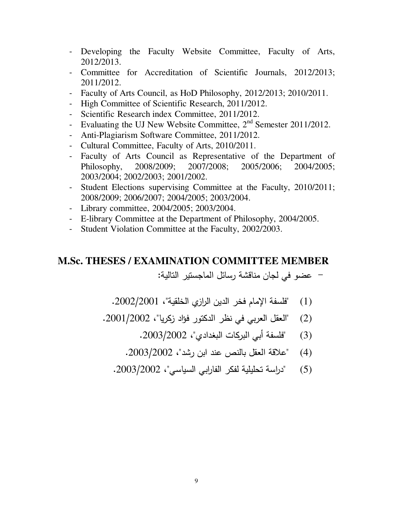- Developing the Faculty Website Committee, Faculty of Arts, 2012/2013.
- Committee for Accreditation of Scientific Journals, 2012/2013; 2011/2012.
- Faculty of Arts Council, as HoD Philosophy, 2012/2013; 2010/2011.
- High Committee of Scientific Research, 2011/2012.
- Scientific Research index Committee, 2011/2012.
- Evaluating the UJ New Website Committee,  $2<sup>nd</sup>$  Semester 2011/2012.
- Anti-Plagiarism Software Committee, 2011/2012.
- Cultural Committee, Faculty of Arts, 2010/2011.
- Faculty of Arts Council as Representative of the Department of Philosophy, 2008/2009; 2007/2008; 2005/2006; 2004/2005; 2003/2004; 2002/2003; 2001/2002.
- Student Elections supervising Committee at the Faculty, 2010/2011; 2008/2009; 2006/2007; 2004/2005; 2003/2004.
- Library committee, 2004/2005; 2003/2004.
- E-library Committee at the Department of Philosophy, 2004/2005.
- Student Violation Committee at the Faculty, 2002/2003.

#### **M.Sc. THESES / EXAMINATION COMMITTEE MEMBER**

– عضو في لجان مناقشة رسائل الماجستير التالية:

- (1) "فلسفة الإمام فخر الدين الرازي الخلقية"، 2002/2001.
- (2) "العقل العربي في نظر الدكتور فؤاد زكريا"، 2001/2002.
	- (3) "فلسفة أبي البركات البغدادي"، 2003/2002.
	- (4) "علاقة العقل بالنص عند ابن رشد"، 2003/2002.
	- (5) "دراسة تحليلية لفكر الفارابي السياسي"، 2003/2002.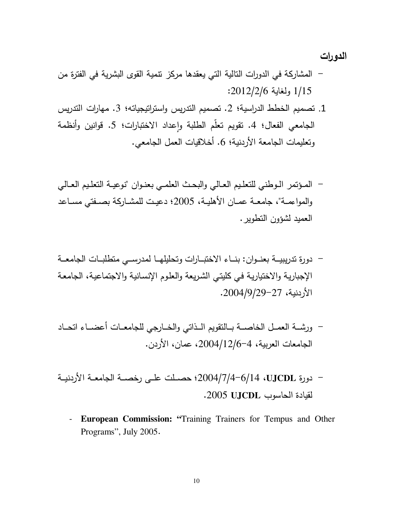الدورات

- المشاركة في الدورات التالية التي يعقدها مركز نتمية القوى البشرية في الفترة من : 2012/2/6 < 1/15
- 1. تصميم الخطط الدراسية؛ 2. تصميم التدريس واستراتيجياته؛ 3. مهارات التدريس الجامعي الفعال؛ 4. نقويم تعلُّم الطلبة وإعداد الاختبارات؛ 5. قوانين وأنظمة ونعليمات الجامعة الأردنية؛ 6. أخلاقيات العمل الجامعي.
- المؤتمر الـوطني للتعليم العـالي والبحث العلمـي بعنـوان "نوعيـة التعليم العـالي والمواءمــة"، جامعــة عمــان الأهليــة، 2005؛ دعيـت للمشــاركـة بصــفتـي مســاعد العميد لشؤون التطوير .
- دورة تدريبيــة بعنــوان: بنــاء الاختبــارات وتحليلهــا لمدرســي متطلبــات الجامعــة الإجبارية والاختيارية في كليتي الشريعة والعلوم الإنسانية والاجتماعية، الجامعة . 2004/9/2927
- ورشــة العمــل الخاصـــة بــالتقويم الــذاتي والخــارجي للجامعــات أعضــاء اتحــاد الجامعات العربية، 4–2004/12/6، عمان، الأردن.
- دورة UJCDL UJCDL 2004/7/4-6/14 دورة عطي لخصسة الأردنيــة لقيادة الحاسوب 2005 UJCDL.
	- **European Commission: "**Training Trainers for Tempus and Other Programs", July 2005.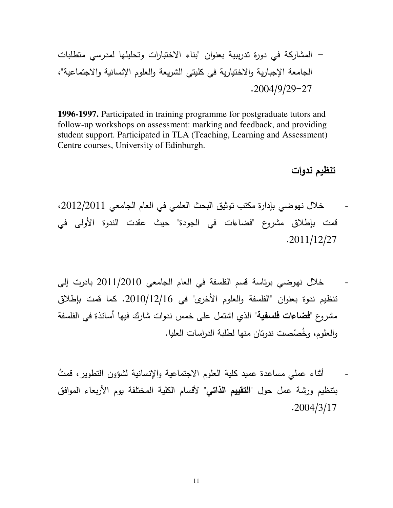,B" \* D" ,"%E 2" " & +! "  "
E \*: . ! "+ & "%E 
:  .2004/9/2927

**1996-1997.** Participated in training programme for postgraduate tutors and follow-up workshops on assessment: marking and feedback, and providing student support. Participated in TLA (Teaching, Learning and Assessment) Centre courses, University of Edinburgh.

تنظيم ندوات

- خلال نهوضي بإدارة مكتب توثيق البحث العلمي في العام الجامعي 2012/2011، قمت بإطلاق مشروع "فضاءات في الجودة" حيث عقدت الندوة الأولى في .2011/12/27
- خلال نهوضي برئاسة قسم الفلسفة في العام الجامعي 2010/2010 بادرت إلى تنظيم ندوة بعنوان "الفلسفة والعلوم الأخرى" في 2010/12/16. كما قمت بإطلاق مشروع "**فضاءات فلسفية**" الذي اشتمل على خمس ندوات شارك فيها أساتذة في الفلسفة والعلوم، وخُصّصت ندوتان منها لطلبة الدراسات العليا.
- أثناء عملي مساعدة عميد كلية العلوم الاجتماعية والإنسانية لشؤون التطوير، قمتُ بنتظيم ورشة عمل حول "**التقييم الذاتي**" لأقسام الكلية المختلفة يوم الأربعاء الموافق .2004/3/17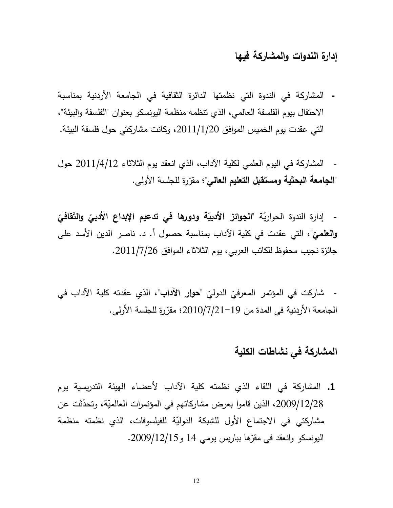## إدارة الندوات والمشاركة فيها

- المشاركة في الندوة التي نظمتها الدائرة الثقافية في الجامعة الأردنية بمناسبة الاحتفال بيوم الفلسفة العالمي، الذي تتظمه منظمة اليونسكو بعنوان "الفلسفة والبيئة"، التي عقدت يوم الخميس الموافق 2011/1/20، وكانت مشاركتي حول فلسفة البيئة.
- المشاركة في اليوم العلمي لكلية الآداب، الذي انعقد يوم الثلاثاء 2011/4/12 حول "ا**لجامعة البحثية ومستقبل التعليم العالي**"؛ مقرّرة للجلسة الأولى.

- إدارة الندوة الحواريّة "ا**لجوائز الأدبيّة ودورها في تدعيم الإبداع الأدب***يّ* **والثقاف***يّ* وا**لعلمي**ّ"، التي عقدت في كلية الآداب بمناسبة حصول أ. د. ناصر الدين الأسد على جائزة نجيب محفوظ للكاتب العربي، يوم الثلاثاء الموافق 2011/7/26.

- شاركت في المؤتمر المعرفيّ الدوليّ "**حو**ار ا<mark>لآداب</mark>"، الذي عقدته كلية الآداب في الجامعة الأردنية في المدة من 19−2010/7/21 مقرّرة للجلسة الأولى.

## المشاركة في نشاطات الكلية

1. المشاركة في اللقاء الذي نظمته كلية الآداب لأعضاء الهيئة التدريسية يوم 2009/12/28، الذين قاموا بعرض مشاركاتهم في المؤتمرات العالميّة، وتحدّثت عن مشاركتي في الاجتماع الأول للشبكة الدوليّة للفيلسوفات، الذي نظمته منظمة اليونسكو وانعقد في مقرّها بباريس يومي 14 و 2009/12/15.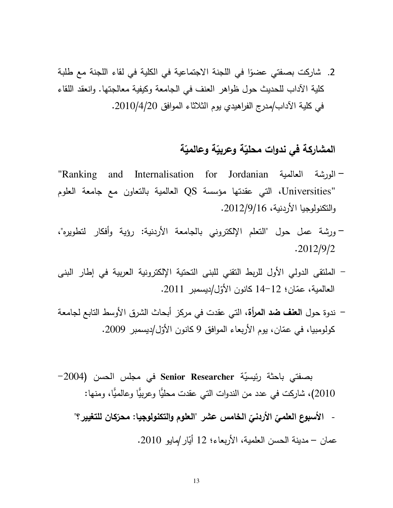2. شاركت بصفتي عضوًا في اللجنة الاجتماعية في الكلية في لقاء اللجنة مع طلبة كلية الآداب للحديث حول ظواهر العنف في الجامعة وكيفية معالجتها. وانعقد اللقاء في كلية الآداب/مدرج الفراهيدي يوم الثلاثاء الموافق 2010/4/20.

# المشاركة في ندوات محليّة وعربيّة وعالميّة

- "Ranking and Internalisation for Jordanian المورشة العالمية "Ranking and Internalisation for Universities"، التي عقدتها مؤسسة QS العالمية بالتعاون مع جامعة العلوم والنكنولوجيا الأردنية، 2012/9/16.
- ورشة عمل حول "النعلم الإلكتروني بالجامعة الأردنية: رؤية وأفكار لنطويره"، .2012/9/2
- الملتقى الدولي الأول للربط النقني للبني التحتية الإلكترونية العربية في إطار البني العالمية، عمّان؛ 12–14 كانون الأوّل/ديسمبر 2011.
- ندوة حول ا**لعنف ضد المرأة**، التي عقدت في مركز أبحاث الشرق الأوسط التابع لجامعة كولومبيا، في عمّان، يوم الأربعاء الموافق 9 كانون الأوّل/ديسمبر 2009.

بصفتي باحثة رئيسيّة Senior Researcher في مجلس الحسن (2004– 2010)، شاركت في عدد من الندوات التي عقدت محليًّا وعربيًّا وعالميًّا، ومنها: - الأسبوع العلميّ الأردنيّ الخامس عشر "العلوم والتكنولوجيا: محرّكان للتغيير ؟"<br>-عمان – مدينة الحسن العلمية، الأربعاء؛ 12 أَيّار/مايو 2010.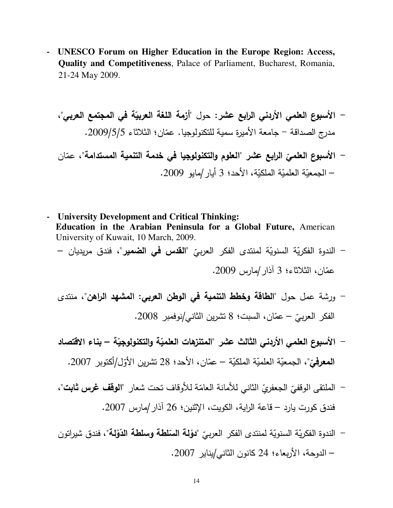- **UNESCO Forum on Higher Education in the Europe Region: Access, Quality and Competitiveness**, Palace of Parliament, Bucharest, Romania, 21-24 May 2009.

1 @ 
 4<" 3 :/ @1   61 ; - " 1 2> A . +" \*  - T ( .2009/5/5 / @1 ; -  " ( 
 "  61 ( 

- **University Development and Critical Thinking: Education in the Arabian Peninsula for a Global Future,** American University of Kuwait, 10 March, 2009. – الندوة الفكريّة السنويّة لمنتدى الفكر العرب*يّ* "**القدس في الضمير**"، فندق مريديان —
	- عمّان، الثلاثاء؛ 3 أذار/مارس 2009.

– الجمعيّة العلميّة الملكيّة، الأحد؛ 3 أيار /مايو 2009.

- ورشة عمل حول "**الطاقة وخطط التنمية في الوطن العربي: المشهد الراهن**"، منتدى الفكر العرب*يّ – عمّ*ان، السبت؛ 8 تشرين الثان*ي إ*نوفمبر 2008.
- الأسبوع العلمي الأردني الثالث عشر "المتنزهات العلميّة والتكنولوجيّة بناء الاقتصاد المعرفيّ"، الجمعيّة العلميّة الملكيّة – عمّان، الأحد؛ 28 نشرين الأوّل/أكتوبر 2007.
- الملتقى الوقفيّ الجعفريّ الثاني للأمانة العامّة للأوقاف تحت شعار "**الوقف غرس ثابت**"،<br>-فندق كورت يارد – قاعة الراية، الكويت، الإثنين؛ 26 آذار /مارس 2007.
- الندوة الفكريّة السنويّة لمنتدى الفكر العربيّ "**دوْلة السّلطة وسلطة الدّوْلة**"، فندق شيرات*ون* F F – الدوحة، الأربعاء؛ 24 كانون الثانـي/يناير 2007.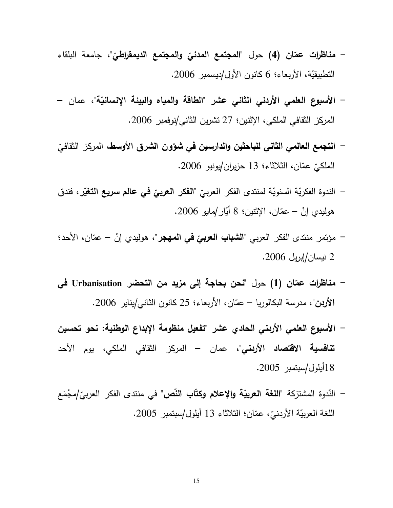- **مناظرات عمّان (4)** حول "**المجتمع المدن***يّ* **والمجتمع الديمقراطيّ"،** جامعة البلقاء النطبيقيّة، الأربعاء؛ 6 كانون الأول/ديسمبر 2006.
- الأسبوع العلمي الأردني الثاني عشر "الطاقة والمياه والبيئة الإنسانيّة"، عمان المركز الثقافي الملكي، الإثنين؛ 27 تشرين الثاني/نوفمبر 2006.
- ا**لتجمع العالمي الثاني للباحثين والدارسين في شؤون الشرق الأوسط،** المركز الثقافيّ الملكيّ عمّان، الثلاثاء؛ 13 حزيران/يونيو 2006.
- ; ( +) @" ( \* ( " +) - @ 
 - J& 1 +  $\ddot{\phantom{0}}$ هوليدي إنْ – عمّان، الإثنين؛ 8 أَبّار/مايو 2006.
- مؤتمر منتدى الفكر العربي "**الشباب العربيّ في المهج**ر"، هوليدي إنْ عمّان، الأحد؛<br>-2 نيسا*ن |*إبريل 2006.
- م**ناظرات عمّان (1)** حول "**نحن بحاجة إلى مزيد من التحضر Urbanisation في** ا<mark>لأردن</mark>"، مدرسة البكالوريا – عمّان، الأربعاء؛ 25 كانون الثان*ي/*يناير 2006.
- الأسبوع العلمي الأربني الحادي عشر "تفعيل منظومة الإبداع الوطنية: نحو تحسين **تنافسية الاقتصاد الأردنى**"، عمان – المركز الثقافي الملكي، يوم الأحد 18أيلول/سبتمبر 2005.
- النّدوة المشترَكة "**اللغة العربيّة والإعلام وكتّاب النّص**" في منتدى الفكر العرب*يّ\م*جْمَع **z** اللغة العربيّة الأردنيّ، عمّان؛ الثلاثاء 13 أيلول/سبتمبر 2005.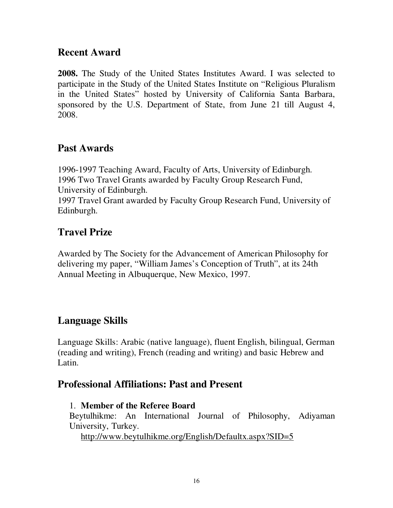## **Recent Award**

**2008.** The Study of the United States Institutes Award. I was selected to participate in the Study of the United States Institute on "Religious Pluralism in the United States" hosted by University of California Santa Barbara, sponsored by the U.S. Department of State, from June 21 till August 4, 2008.

## **Past Awards**

1996-1997 Teaching Award, Faculty of Arts, University of Edinburgh. 1996 Two Travel Grants awarded by Faculty Group Research Fund, University of Edinburgh.

1997 Travel Grant awarded by Faculty Group Research Fund, University of Edinburgh.

# **Travel Prize**

Awarded by The Society for the Advancement of American Philosophy for delivering my paper, "William James's Conception of Truth", at its 24th Annual Meeting in Albuquerque, New Mexico, 1997.

# **Language Skills**

Language Skills: Arabic (native language), fluent English, bilingual, German (reading and writing), French (reading and writing) and basic Hebrew and Latin.

#### **Professional Affiliations: Past and Present**

#### 1. **Member of the Referee Board**

Beytulhikme: An International Journal of Philosophy, Adiyaman University, Turkey.

http://www.beytulhikme.org/English/Defaultx.aspx?SID=5